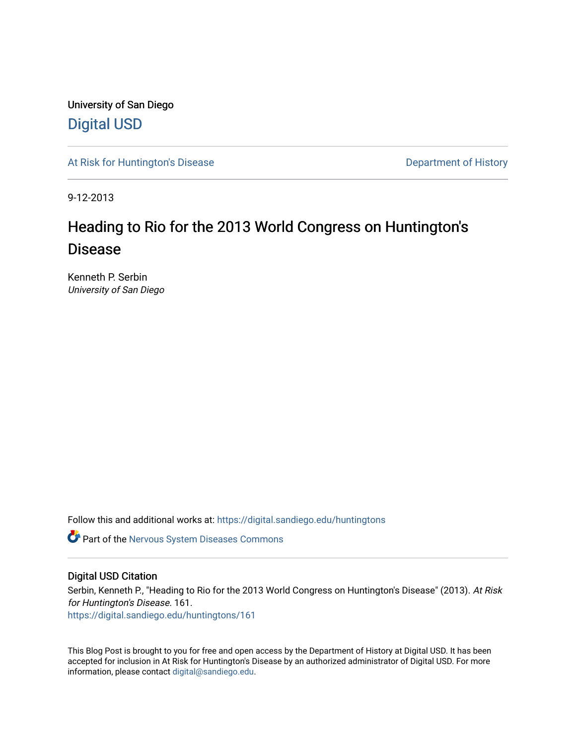University of San Diego [Digital USD](https://digital.sandiego.edu/)

[At Risk for Huntington's Disease](https://digital.sandiego.edu/huntingtons) **Department of History** Department of History

9-12-2013

## Heading to Rio for the 2013 World Congress on Huntington's Disease

Kenneth P. Serbin University of San Diego

Follow this and additional works at: [https://digital.sandiego.edu/huntingtons](https://digital.sandiego.edu/huntingtons?utm_source=digital.sandiego.edu%2Fhuntingtons%2F161&utm_medium=PDF&utm_campaign=PDFCoverPages)

**C** Part of the [Nervous System Diseases Commons](http://network.bepress.com/hgg/discipline/928?utm_source=digital.sandiego.edu%2Fhuntingtons%2F161&utm_medium=PDF&utm_campaign=PDFCoverPages)

## Digital USD Citation

Serbin, Kenneth P., "Heading to Rio for the 2013 World Congress on Huntington's Disease" (2013). At Risk for Huntington's Disease. 161. [https://digital.sandiego.edu/huntingtons/161](https://digital.sandiego.edu/huntingtons/161?utm_source=digital.sandiego.edu%2Fhuntingtons%2F161&utm_medium=PDF&utm_campaign=PDFCoverPages)

This Blog Post is brought to you for free and open access by the Department of History at Digital USD. It has been accepted for inclusion in At Risk for Huntington's Disease by an authorized administrator of Digital USD. For more information, please contact [digital@sandiego.edu.](mailto:digital@sandiego.edu)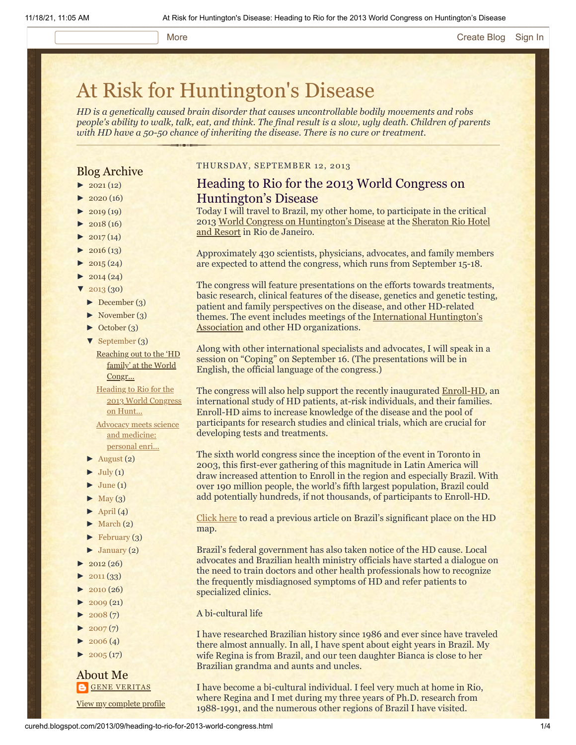#### More **[Create Blog](https://www.blogger.com/home#create) [Sign In](https://www.blogger.com/)**

# [At Risk for Huntington's Disease](http://curehd.blogspot.com/)

*HD is a genetically caused brain disorder that causes uncontrollable bodily movements and robs people's ability to walk, talk, eat, and think. The final result is a slow, ugly death. Children of parents with HD have a 50-50 chance of inheriting the disease. There is no cure or treatment.*

## Blog Archive

- $\blacktriangleright$  [2021](http://curehd.blogspot.com/2021/)(12)
- $2020(16)$  $2020(16)$
- $\blacktriangleright$  [2019](http://curehd.blogspot.com/2019/) (19)
- $\blacktriangleright$  [2018](http://curehd.blogspot.com/2018/) (16)
- $2017(14)$  $2017(14)$
- $2016(13)$  $2016(13)$
- $\blacktriangleright$  [2015](http://curehd.blogspot.com/2015/) (24)
- $\blacktriangleright$  [2014](http://curehd.blogspot.com/2014/) (24)  $'$  [2013](http://curehd.blogspot.com/2013/) (30)
- [►](javascript:void(0)) [December](http://curehd.blogspot.com/2013/12/) (3)
- [►](javascript:void(0)) [November](http://curehd.blogspot.com/2013/11/) (3)
- [►](javascript:void(0)) [October](http://curehd.blogspot.com/2013/10/) (3)
- [▼](javascript:void(0)) [September](http://curehd.blogspot.com/2013/09/) (3)
- [Reaching](http://curehd.blogspot.com/2013/09/reaching-out-to-hd-family-at-world.html) out to the 'HD family' at the World Congr...

Heading to Rio for the 2013 World [Congress](http://curehd.blogspot.com/2013/09/heading-to-rio-for-2013-world-congress.html) on Hunt...

Advocacy meets science and [medicine:](http://curehd.blogspot.com/2013/09/advocacy-meets-science-and-medicine.html) personal enri...

- $\blacktriangleright$  [August](http://curehd.blogspot.com/2013/08/) (2)
- $\blacktriangleright$  [July](http://curehd.blogspot.com/2013/07/) (1)
- $\blacktriangleright$  [June](http://curehd.blogspot.com/2013/06/) (1)
- $\blacktriangleright$  [May](http://curehd.blogspot.com/2013/05/) (3)
- $\blacktriangleright$  [April](http://curehd.blogspot.com/2013/04/) (4)
- $\blacktriangleright$  [March](http://curehd.blogspot.com/2013/03/) (2)
- $\blacktriangleright$  [February](http://curehd.blogspot.com/2013/02/) (3)
- $\blacktriangleright$  [January](http://curehd.blogspot.com/2013/01/) (2)
- $2012(26)$  $2012(26)$
- $2011(33)$  $2011(33)$
- $2010(26)$  $2010(26)$
- $-2009(21)$  $-2009(21)$  $-2009(21)$
- $2008(7)$  $2008(7)$
- $2007(7)$  $2007(7)$
- $\blacktriangleright$  [2006](http://curehd.blogspot.com/2006/) (4)
- $\blacktriangleright$  [2005](http://curehd.blogspot.com/2005/) (17)

#### About Me **GENE [VERITAS](https://www.blogger.com/profile/10911736205741688185)**

View my [complete](https://www.blogger.com/profile/10911736205741688185) profile

#### THURSDAY, SEPTEMBER 12, 2013

## Heading to Rio for the 2013 World Congress on Huntington's Disease

Today I will travel to Brazil, my other home, to participate in the critical [2013](http://www.starwoodhotels.com/sheraton/property/overview/index.html?propertyID=255) [World Congress on Huntington's Diseas](http://www.wchd2013.com/ingles/index.php)[e at the Sheraton Rio Hotel](http://www.starwoodhotels.com/sheraton/property/overview/index.html?propertyID=255) and Resort in Rio de Janeiro.

Approximately 430 scientists, physicians, advocates, and family members are expected to attend the congress, which runs from September 15-18.

The congress will feature presentations on the efforts towards treatments, basic research, clinical features of the disease, genetics and genetic testing, patient and family perspectives on the disease, and other HD-related themes. The event [includes meetings of the International Huntington's](http://www.huntington-assoc.com/) Association and other HD organizations.

Along with other international specialists and advocates, I will speak in a session on "Coping" on September 16. (The presentations will be in English, the official language of the congress.)

The congress will also help support the recently inaugurated **Enroll-HD**, an international study of HD patients, at-risk individuals, and their families. Enroll-HD aims to increase knowledge of the disease and the pool of participants for research studies and clinical trials, which are crucial for developing tests and treatments.

The sixth world congress since the inception of the event in Toronto in 2003, this first-ever gathering of this magnitude in Latin America will draw increased attention to Enroll in the region and especially Brazil. With over 190 million people, the world's fifth largest population, Brazil could add potentially hundreds, if not thousands, of participants to Enroll-HD.

[Click here](http://curehd.blogspot.com/2013/04/brazils-big-place-on-huntingtons.html) to read a previous article on Brazil's significant place on the HD map.

Brazil's federal government has also taken notice of the HD cause. Local advocates and Brazilian health ministry officials have started a dialogue on the need to train doctors and other health professionals how to recognize the frequently misdiagnosed symptoms of HD and refer patients to specialized clinics.

#### A bi-cultural life

I have researched Brazilian history since 1986 and ever since have traveled there almost annually. In all, I have spent about eight years in Brazil. My wife Regina is from Brazil, and our teen daughter Bianca is close to her Brazilian grandma and aunts and uncles.

I have become a bi-cultural individual. I feel very much at home in Rio, where Regina and I met during my three years of Ph.D. research from 1988-1991, and the numerous other regions of Brazil I have visited.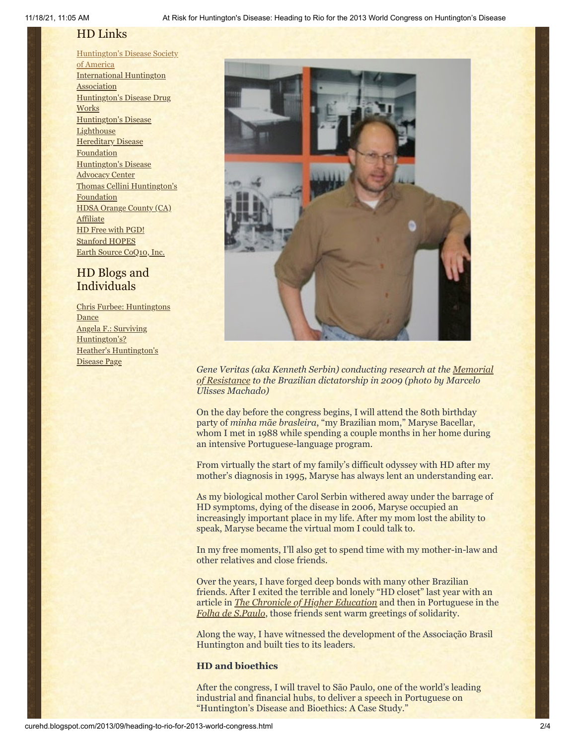## HD Links

[Huntington's](http://www.hdsa.org/) Disease Society of America [International](http://www.huntington-assoc.com/) Huntington **Association** [Huntington's](http://hddrugworks.org/) Disease Drug **Works** [Huntington's](http://www.hdlighthouse.org/) Disease **Lighthouse Hereditary Disease [Foundation](http://www.hdfoundation.org/)** [Huntington's](http://www.hdac.org/) Disease Advocacy Center Thomas [Cellini Huntington's](http://www.ourtchfoundation.org/) **Foundation** HDSA Orange County (CA) **[Affiliate](http://www.hdsaoc.org/)** HD Free with [PGD!](http://www.hdfreewithpgd.com/) [Stanford](http://www.stanford.edu/group/hopes/) HOPES Earth Source [CoQ10,](http://www.escoq10.com/) Inc.

## HD Blogs and Individuals

Chris Furbee: [Huntingtons](http://www.huntingtonsdance.org/) **Dance** Angela F.: Surviving [Huntington's?](http://survivinghuntingtons.blogspot.com/) Heather's [Huntington's](http://heatherdugdale.angelfire.com/) Disease Page



*[Gene Veritas \(aka Kenneth Serbin\) conducting research at the Memorial](http://www.memorialdaresistenciasp.org.br/) of Resistance to the Brazilian dictatorship in 2009 (photo by Marcelo Ulisses Machado)*

On the day before the congress begins, I will attend the 80th birthday party of *minha mãe brasleira*, "my Brazilian mom," Maryse Bacellar, whom I met in 1988 while spending a couple months in her home during an intensive Portuguese-language program.

From virtually the start of my family's difficult odyssey with HD after my mother's diagnosis in 1995, Maryse has always lent an understanding ear.

As my biological mother Carol Serbin withered away under the barrage of HD symptoms, dying of the disease in 2006, Maryse occupied an increasingly important place in my life. After my mom lost the ability to speak, Maryse became the virtual mom I could talk to.

In my free moments, I'll also get to spend time with my mother-in-law and other relatives and close friends.

Over the years, I have forged deep bonds with many other Brazilian friends. After I exited the terrible and lonely "HD closet" last year with an article in *[The Chronicle of Higher Education](http://chronicle.com/article/Racing-Against-the-Genetic/135542/)* and then in Portuguese in the *[Folha de S.Paulo](http://www1.folha.uol.com.br/ilustrissima/1201436-a-corrida-contra-o-relogio-genetico.shtml)*, those friends sent warm greetings of solidarity.

Along the way, I have witnessed the development of the Associação Brasil Huntington and built ties to its leaders.

## **HD and bioethics**

After the congress, I will travel to São Paulo, one of the world's leading industrial and financial hubs, to deliver a speech in Portuguese on "Huntington's Disease and Bioethics: A Case Study."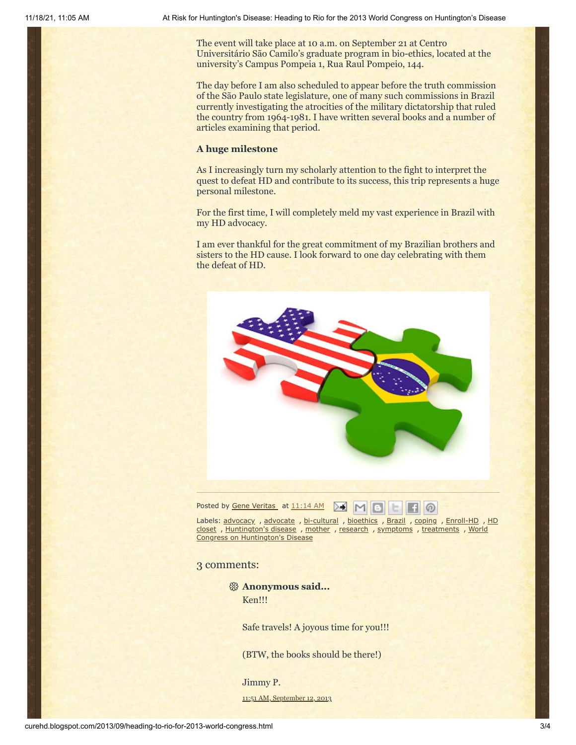The event will take place at 10 a.m. on September 21 at Centro Universitário São Camilo's graduate program in bio-ethics, located at the university's Campus Pompeia 1, Rua Raul Pompeio, 144.

The day before I am also scheduled to appear before the truth commission of the São Paulo state legislature, one of many such commissions in Brazil currently investigating the atrocities of the military dictatorship that ruled the country from 1964-1981. I have written several books and a number of articles examining that period.

### **A huge milestone**

As I increasingly turn my scholarly attention to the fight to interpret the quest to defeat HD and contribute to its success, this trip represents a huge personal milestone.

For the first time, I will completely meld my vast experience in Brazil with my HD advocacy.

I am ever thankful for the great commitment of my Brazilian brothers and sisters to the HD cause. I look forward to one day celebrating with them the defeat of HD.



Posted by <u>Gene [Veritas](https://www.blogger.com/profile/03599828959793084715)</u> at [11:14](http://curehd.blogspot.com/2013/09/heading-to-rio-for-2013-world-congress.html) AM **AM AM B** 

Labels: [advocacy](http://curehd.blogspot.com/search/label/advocacy), [advocate](http://curehd.blogspot.com/search/label/advocate), [bi-cultural](http://curehd.blogspot.com/search/label/bi-cultural), [bioethics](http://curehd.blogspot.com/search/label/bioethics), [Brazil](http://curehd.blogspot.com/search/label/Brazil), [coping](http://curehd.blogspot.com/search/label/coping), [Enroll-HD](http://curehd.blogspot.com/search/label/Enroll-HD), HD closet , [Huntington's](http://curehd.blogspot.com/search/label/HD%20closet) disease , [mother](http://curehd.blogspot.com/search/label/mother) , [research](http://curehd.blogspot.com/search/label/research) , [symptoms](http://curehd.blogspot.com/search/label/symptoms) , [treatments](http://curehd.blogspot.com/search/label/treatments) , World Congress on Huntington's Disease

#### 3 comments:

**Anonymous said...** Ken!!!

Safe travels! A joyous time for you!!!

(BTW, the books should be there!)

Jimmy P.

11:51 AM, [September](http://curehd.blogspot.com/2013/09/heading-to-rio-for-2013-world-congress.html?showComment=1379011879657#c3114148040607502873) 12, 2013